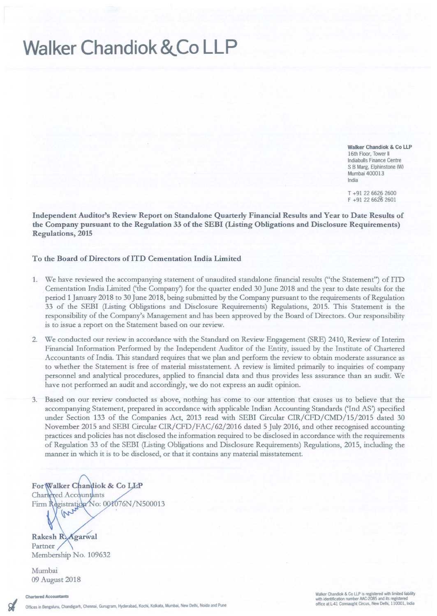## **Walker Chandiok &,Co LLP**

**Walker Chandiok & Co LLP 16th Floor, Tower II Indiabulls Finance Centre** S **BMarg, Elphinstooe (W) Mumbai 400013 India**

T +91 2266262600  $F + 91 22 6626 2601$ 

Independent Auditor's Review Report on Standalone Quarterly Financial Results and Year to Date Results of the Company pursuant to the Regulation 33 of the SEBI (Listing Obligations and Disclosure Requirements) Regulations, 2015

## To the Board of Directors of lTD Cementation India Limited

- 1. We have reviewed the accompanying statement of unaudited standalone financial results ("the Statement") of lTD Cementation India Limited ('the Company') for the quarter ended 30 June 2018 and the year to date results for the period 1 January 2018 to 30 June 2018, being submitted by the Company pursuant to the requirements of Regulation 33 of the SEBI (Listing Obligations and Disclosure Requirements) Regulations, 2015. Tbis Statement is the responsibility of the Company's Management and has been approved by the Board of Directors. Our responsibility **is to issue a report on the Statement based on our review.**
- 2. We conducted our review in accordance with the Standard on Review Engagement (SRE) 2410, Review of Interim Financial Information Performed by the Independent Auditor of the Entity, issued by the Institute of Cbartered Accountants of India. This standard requires that we plan and perform the review to obtain moderate assurance as to whether the Statement is free of material misstatement. A review is limited primarily to inquiries of company personnel and analytical procedures, applied to financial data and thus provides less assurance than an audit. We **have not performed an audit and accordingly, we do not express an audit opinion.**
- 3. Based on our review conducted as above, nothing has come to our attention that causes us to believe that the accompanying Statement, prepared in accordance with applicable Indian Accounting Standards ('Ind AS') specified under Section 133 of the Companies Act, 2013 read with SEBI Circular CIR/CFD/CMD/15/2015 dated 30 November 2015 and SEBI Circular CIR/CFD/FAC/62/2016 dated 5 July 2016, and other recognised accounting practices and policies has not disclosed the information required to be disclosed in accordance with the requirements of Regulation 33 of the SEBI (Listing Obligations and Disclosure Requirements) Regulations, 2015, including the **manner in which it is to be disclosed, or that it contains any material misstatement.**

For Walker Chandiok & Co LLP Charlered Accountants Firm Registration No: 001076N/N500013 m

Rakesh R. Agarwal **Partner** Membership No. 109632

Mumbai 09 August 2018

*Wl!N:s* **Chardok &Co llP IS 11!gi\$tmd with iTe:I iabiity** With identification **IUT'bef MC-2085 and its registered office at L-41 Connaught Circus, New Delhi, 110001, India**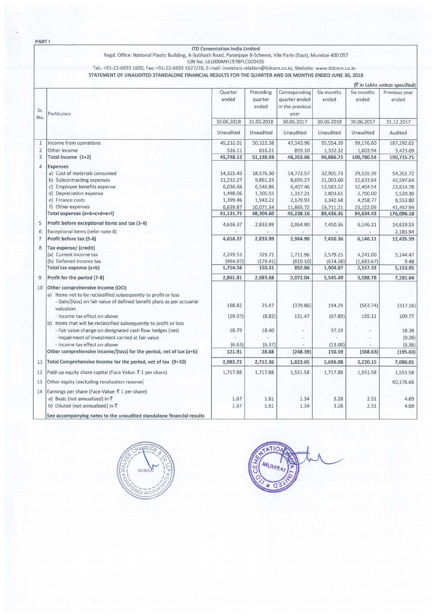PART I

## ITO cementation India Limited

Regd. Office: National Plastic Building, A-Subhash Road, Paranjape a-Scheme, Vile Parle (East), Mumbai-400 057 ON No. L61000MH1978PLC020435

Tel.: +91-22-6693 1600, Fax: +91-22-6693 1627/28, E-mail: investors.relation@itdcem.co,in, Website: www.itdcem.co.in

STATEMENT OF UNAUDITED STANDALONE FINANCIAL RESULTS FOR THE QUARTER AND SIX MONTHS ENDED JUNE 30, 2018

|                |                                                                                                                                                                                                                          |                       |                               |                                                           |                        |                        | (रैं in Lakhs unless specified) |
|----------------|--------------------------------------------------------------------------------------------------------------------------------------------------------------------------------------------------------------------------|-----------------------|-------------------------------|-----------------------------------------------------------|------------------------|------------------------|---------------------------------|
| Sr.<br>No.     | Particulars                                                                                                                                                                                                              | Quarter<br>ended      | Preceding<br>quarter<br>ended | Corresponding<br>quarter ended<br>in the previous<br>year | Six months<br>ended    | Six months<br>ended    | Previous year<br>ended          |
|                |                                                                                                                                                                                                                          | 30.06.2018            | 31.03.2018                    | 30.06.2017                                                | 30.06.2018             | 30.06.2017             | 31.12.2017                      |
|                |                                                                                                                                                                                                                          | Unaudited             | Unaudited                     | Unaudited                                                 | Unaudited              | <b>Unaudited</b>       | Audited                         |
| $\mathbf{1}$   | Income from operations                                                                                                                                                                                                   | 45,232.01             | 50,322.38                     | 47,343.96                                                 | 95,554.39              | 99,176.60              | 187,292.02                      |
| $\overline{2}$ | Other income                                                                                                                                                                                                             | 516.11                | 816.21                        | 859.10                                                    | 1,332.32               | 1,603.94               | 3,423.69                        |
| 3              | Total Income (1+2)                                                                                                                                                                                                       | 45,748.12             | 51,138.59                     | 48,203.06                                                 | 96,886.71              | 100,780.54             | 190,715.71                      |
| 4              | <b>Expenses</b><br>a) Cost of materials consumed                                                                                                                                                                         | 14,325.43             | 18,576.30                     | 14,772.57                                                 | 32,901.73              | 29,535.39              | 54,351.72                       |
|                | b) Subcontracting expenses<br>c) Employee benefits expense                                                                                                                                                               | 11,232.27<br>6,036.66 | 9,861.33<br>6,546.86          | 8,695.27<br>6,407.46                                      | 21,093.60<br>12,583.52 | 22,633.64<br>12,404.54 | 42,597.64<br>23,614.78          |
|                | d) Depreciation expense                                                                                                                                                                                                  | 1,498.06              | 1,305.55                      | 1,317.21                                                  | 2,803.61               | 2,700.00               | 5,520.30                        |
|                | e) Finance costs                                                                                                                                                                                                         | 1,399.46              | 1,943.22                      | 2,179.93                                                  | 3,342.68               | 4,258.77               | 8,553.80                        |
|                | f) Other expenses                                                                                                                                                                                                        | 6,639.87              | 10,071.34                     | 11,865.72                                                 | 16,711.21              | 23,102.09              | 41,457.94                       |
|                | Total expenses (a+b+c+d+e+f)                                                                                                                                                                                             | 41,131.75             | 48,304.60                     | 45,238.16                                                 | 89,436.35              | 94,634.43              | 176,096.18                      |
| 5              | Profit before exceptional items and tax (3-4)                                                                                                                                                                            | 4,616.37              | 2,833.99                      | 2,964.90                                                  | 7,450.36               | 6,146.11               | 14,619.53                       |
| 6              | Exceptional items (refer note 4)                                                                                                                                                                                         |                       |                               |                                                           |                        |                        | 2,183.94                        |
| $\overline{7}$ | Profit before tax (5-6)                                                                                                                                                                                                  | 4,616.37              | 2,833.99                      | 2,964.90                                                  | 7,450.36               | 6,146.11               | 12,435.59                       |
| 8              | Tax expense/ (credit)<br>(a) Current income tax                                                                                                                                                                          | 2,249.53              | 329.72                        | 1,711.96                                                  | 2,579.25               | 4,241.00               | 5,144.47                        |
|                | (b) Deferred income tax                                                                                                                                                                                                  | (494.97)              | (179.41)                      | (819.10)                                                  | (674.38)               | (1,683.67)             | 9.48                            |
|                | Total tax expense (a+b)                                                                                                                                                                                                  | 1,754.56              | 150.31                        | 892.86                                                    | 1,904.87               | 2,557.33               | 5,153.95                        |
| 9              | Profit for the period (7-8)                                                                                                                                                                                              | 2,861.81              | 2,683.68                      | 2,072.04                                                  | 5,545.49               | 3,588.78               | 7,281.64                        |
| 10             | Other comprehensive income (OCI)<br>a) Items not to be reclassified subsequently to profit or loss<br>- Gain/(loss) on fair value of defined benefit plans as per actuarial<br>valuation<br>- Income tax effect on above | 168.82<br>(59.07)     | 25.47<br>(8.82)               | (379.86)<br>131.47                                        | 194.29<br>(67.89)      | (563.74)<br>195.11     | (317.16)<br>109.77              |
|                | b) Items that will be reclassified subsequently to profit or loss                                                                                                                                                        |                       |                               |                                                           |                        |                        |                                 |
|                | - Fair value change on designated cash flow hedges (net)<br>- Impairment of investment carried at fair value                                                                                                             | 18.79                 | 18.40                         |                                                           | 37.19                  |                        | 18.38                           |
|                | - Income tax effect on above                                                                                                                                                                                             | (6.63)                | (6.37)                        |                                                           | (13.00)                |                        | (0.26)<br>(6.36)                |
|                | Other comprehensive income/(loss) for the period, net of tax (a+b)                                                                                                                                                       | 121.91                | 28.68                         | (248.39)                                                  | 150.59                 | (368.63)               | (195.63)                        |
| 11             | Total Comprehensive Income for the period, net of tax (9+10)                                                                                                                                                             | 2,983.72              | 2,712.36                      | 1,823.65                                                  | 5,696.08               | 3,220.15               | 7,086.01                        |
| 12             | Paid-up equity share capital (Face Value: ₹1 per share)                                                                                                                                                                  | 1,717.88              | 1,717.88                      | 1,551.58                                                  | 1,717.88               | 1,551.58               | 1,551.58                        |
| 13             | Other equity (excluding revaluation reserve)                                                                                                                                                                             |                       |                               |                                                           |                        |                        | 60,176.66                       |
| 14             | Earnings per share (Face Value: ₹1 per share)                                                                                                                                                                            |                       |                               |                                                           |                        |                        |                                 |
|                | a) Basic (not annualised) in ₹                                                                                                                                                                                           | 1.67                  | 1.61                          | 1.34                                                      | 3.28                   | 2.31                   | 4.69                            |
|                | b) Diluted (not annualised) in ₹                                                                                                                                                                                         | 1.67                  | 1.61                          | 1.34                                                      | 3.28                   | 2.31                   | 4.69                            |
|                | See accompanying notes to the unaudited standalone financial results                                                                                                                                                     |                       |                               |                                                           |                        |                        |                                 |



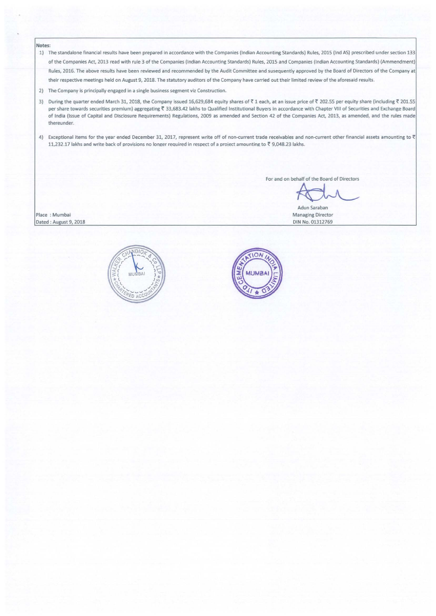## Notes:

- 1) The standalone financial results have been prepared in accordance with the Companies (Indian Accounting Standards) Rules, 2015 (Ind AS) prescribed under section 133 of the Companies Act, 2013 read with rule 3 of the Companies (Indian Accounting Standards) Rules, 2015 and Companies (Indian Accounting Standards) (Ammendment) Rules, 2016. The above results have been reviewed and recommended by the Audit Committee and susequently approved by the Board of Directors of the Company at their respective meetings held on August 9, 2018. The statutory auditors of the Company have carried out their limited review of the aforesaid results.
- 2) The Company is principally engaged in a single business segment viz Construction.
- 3) During the quarter ended March 31, 2018, the Company issued 16,629,684 equity shares of ₹1 each, at an issue price of ₹202.55 per equity share (including ₹201.55 per share towards securities premium) aggregating ₹ 33,683.42 lakhs to Qualified Institutional Buyers in accordance with Chapter VIII of Securities and Exchange Board of India (Issue of Capital and Disclosure Requirements) Regulations, 2009 as amended and Section 42 of the Companies Act, 2013, as amended, and the rules made thereunder.
- 4) Exceptional items for the year ended December 31, 2017, represent write off of non-current trade receivables and non-current other financial assets amounting to  $\bar{\tau}$ 11,232.17 lakhs and write back of provisions no longer required in respect of a project amounting to  $\bar{c}$  9,048.23 lakhs.

For and on behalf of the Board of Directors

Adun Saraban Managing Director DIN No. 01312769

Place: Mumbai Dated: August 9, 2018